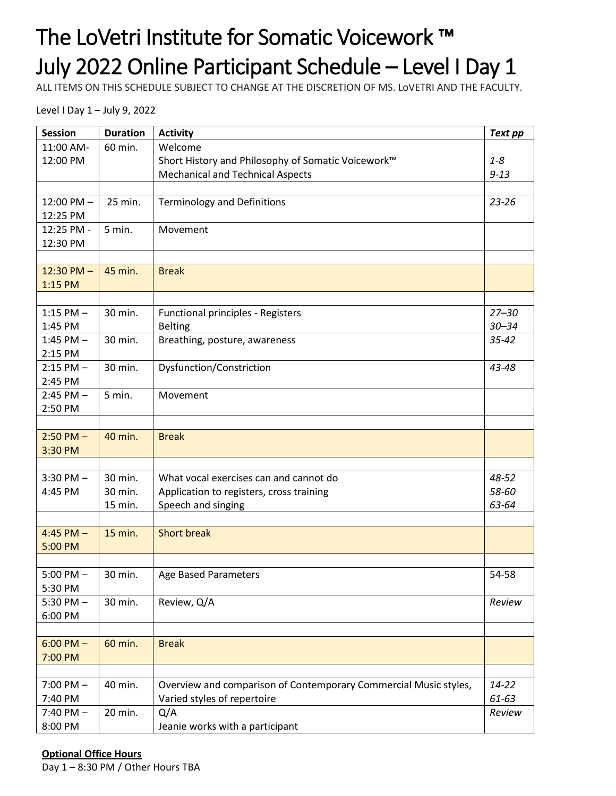## The LoVetri Institute for Somatic Voicework ™ July 2022 Online Participant Schedule – Level I Day 1

ALL ITEMS ON THIS SCHEDULE SUBJECT TO CHANGE AT THE DISCRETION OF MS. LoVETRI AND THE FACULTY.

Level I Day 1 – July 9, 2022

| <b>Session</b> | <b>Duration</b> | <b>Activity</b>                                                  | <b>Text pp</b> |
|----------------|-----------------|------------------------------------------------------------------|----------------|
| 11:00 AM-      | 60 min.         | Welcome                                                          |                |
| 12:00 PM       |                 | Short History and Philosophy of Somatic Voicework™               |                |
|                |                 | <b>Mechanical and Technical Aspects</b>                          |                |
|                |                 |                                                                  |                |
| $12:00$ PM $-$ | 25 min.         | <b>Terminology and Definitions</b>                               | $23 - 26$      |
| 12:25 PM       |                 |                                                                  |                |
| 12:25 PM -     | 5 min.          | Movement                                                         |                |
| 12:30 PM       |                 |                                                                  |                |
|                |                 |                                                                  |                |
| $12:30$ PM $-$ | 45 min.         | <b>Break</b>                                                     |                |
| 1:15 PM        |                 |                                                                  |                |
|                |                 |                                                                  |                |
| $1:15$ PM $-$  | 30 min.         | Functional principles - Registers                                | $27 - 30$      |
| 1:45 PM        |                 | <b>Belting</b>                                                   | $30 - 34$      |
| 1:45 PM $-$    | 30 min.         | Breathing, posture, awareness                                    |                |
| 2:15 PM        |                 |                                                                  |                |
| $2:15$ PM $-$  | 30 min.         | Dysfunction/Constriction                                         | 43-48          |
| 2:45 PM        |                 |                                                                  |                |
| $2:45$ PM $-$  | 5 min.          | Movement                                                         |                |
| 2:50 PM        |                 |                                                                  |                |
|                |                 |                                                                  |                |
| $2:50$ PM $-$  | 40 min.         | <b>Break</b>                                                     |                |
| 3:30 PM        |                 |                                                                  |                |
|                |                 |                                                                  |                |
| $3:30$ PM $-$  | 30 min.         | What vocal exercises can and cannot do                           |                |
| 4:45 PM        | 30 min.         | Application to registers, cross training                         | 58-60          |
|                | 15 min.         | Speech and singing                                               | 63-64          |
|                |                 |                                                                  |                |
| $4:45$ PM $-$  | 15 min.         | <b>Short break</b>                                               |                |
| 5:00 PM        |                 |                                                                  |                |
|                |                 |                                                                  |                |
| $5:00$ PM $-$  | 30 min.         | Age Based Parameters                                             | 54-58          |
| 5:30 PM        |                 |                                                                  |                |
| $5:30$ PM $-$  | 30 min.         | Review, Q/A                                                      | Review         |
| 6:00 PM        |                 |                                                                  |                |
|                |                 |                                                                  |                |
| $6:00$ PM $-$  | 60 min.         | <b>Break</b>                                                     |                |
| 7:00 PM        |                 |                                                                  |                |
|                |                 |                                                                  |                |
| $7:00$ PM $-$  | 40 min.         | Overview and comparison of Contemporary Commercial Music styles, | $14 - 22$      |
| 7:40 PM        |                 | Varied styles of repertoire                                      | 61-63          |
| $7:40$ PM $-$  | 20 min.         | Q/A                                                              | Review         |
| 8:00 PM        |                 | Jeanie works with a participant                                  |                |

#### **Optional Office Hours**

Day 1 – 8:30 PM / Other Hours TBA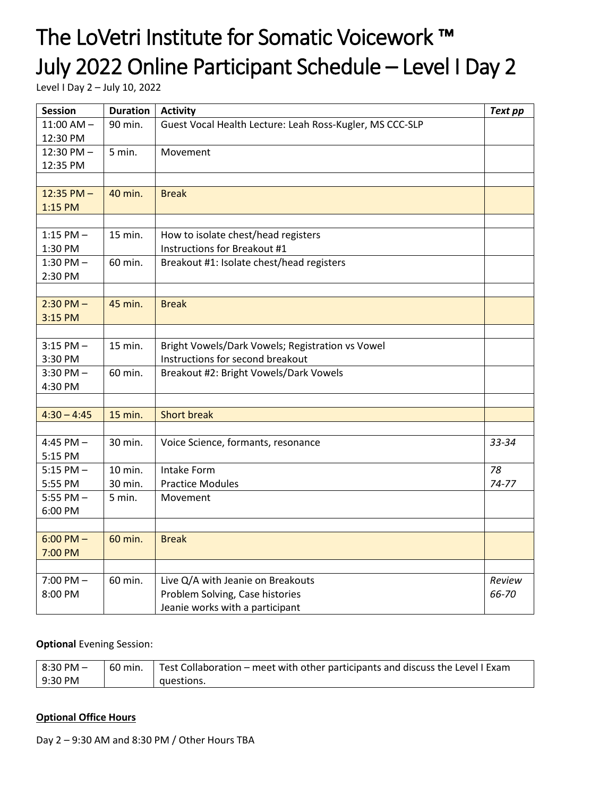# The LoVetri Institute for Somatic Voicework ™ July 2022 Online Participant Schedule – Level I Day 2

Level I Day 2 – July 10, 2022

| <b>Session</b>       | <b>Duration</b> | <b>Activity</b>                                          |       |
|----------------------|-----------------|----------------------------------------------------------|-------|
| $11:00$ AM $-$       | 90 min.         | Guest Vocal Health Lecture: Leah Ross-Kugler, MS CCC-SLP |       |
| 12:30 PM             |                 |                                                          |       |
| $12:30 \text{ PM} -$ | 5 min.          | Movement                                                 |       |
| 12:35 PM             |                 |                                                          |       |
|                      |                 |                                                          |       |
| $12:35$ PM $-$       | 40 min.         | <b>Break</b>                                             |       |
| 1:15 PM              |                 |                                                          |       |
|                      |                 |                                                          |       |
| $1:15$ PM $-$        | 15 min.         | How to isolate chest/head registers                      |       |
| 1:30 PM              |                 | Instructions for Breakout #1                             |       |
| 1:30 PM $-$          | 60 min.         | Breakout #1: Isolate chest/head registers                |       |
| 2:30 PM              |                 |                                                          |       |
|                      |                 |                                                          |       |
| $2:30$ PM $-$        | 45 min.         | <b>Break</b>                                             |       |
| 3:15 PM              |                 |                                                          |       |
|                      |                 |                                                          |       |
| $3:15$ PM $-$        | 15 min.         | Bright Vowels/Dark Vowels; Registration vs Vowel         |       |
| 3:30 PM              |                 | Instructions for second breakout                         |       |
| $3:30$ PM $-$        | 60 min.         | Breakout #2: Bright Vowels/Dark Vowels                   |       |
| 4:30 PM              |                 |                                                          |       |
|                      |                 |                                                          |       |
| $4:30 - 4:45$        | 15 min.         | <b>Short break</b>                                       |       |
|                      |                 |                                                          |       |
| 4:45 PM $-$          | 30 min.         | Voice Science, formants, resonance<br>33-34              |       |
| 5:15 PM              |                 |                                                          |       |
| $5:15$ PM $-$        | 10 min.         | 78<br>Intake Form                                        |       |
| 5:55 PM              | 30 min.         | $74 - 77$<br><b>Practice Modules</b>                     |       |
| 5:55 PM $-$          | 5 min.          | Movement                                                 |       |
| 6:00 PM              |                 |                                                          |       |
|                      |                 |                                                          |       |
| $6:00$ PM $-$        | 60 min.         | <b>Break</b>                                             |       |
| 7:00 PM              |                 |                                                          |       |
|                      |                 |                                                          |       |
| $7:00$ PM $-$        | 60 min.         | Live Q/A with Jeanie on Breakouts<br>Review              |       |
| 8:00 PM              |                 | Problem Solving, Case histories                          | 66-70 |
|                      |                 | Jeanie works with a participant                          |       |

#### **Optional** Evening Session:

| $8:30$ PM $-$ | 60 min. | Test Collaboration – meet with other participants and discuss the Level I Exam |
|---------------|---------|--------------------------------------------------------------------------------|
| 9:30 PM       |         | questions.                                                                     |

#### **Optional Office Hours**

Day 2 – 9:30 AM and 8:30 PM / Other Hours TBA